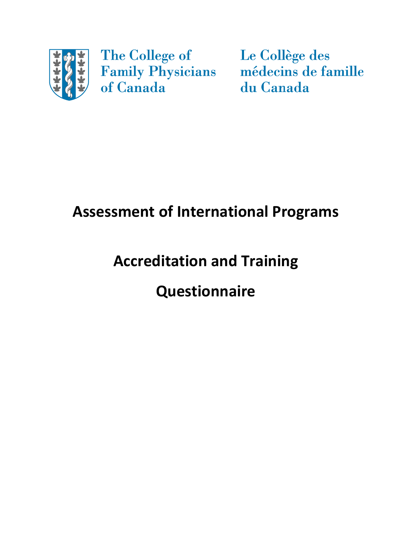

The College of **Family Physicians**<br>of Canada

Le Collège des médecins de famille du Canada

# **Assessment of International Programs**

# **Accreditation and Training**

# **Questionnaire**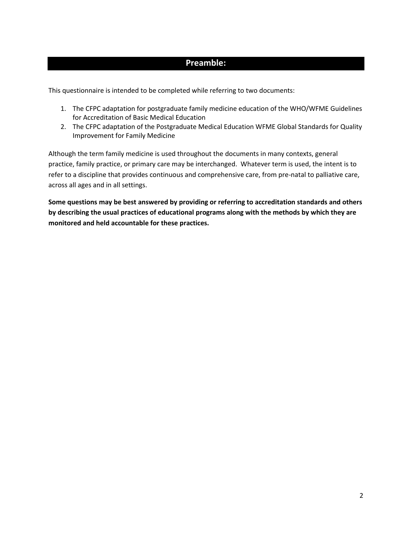#### **Preamble:**

This questionnaire is intended to be completed while referring to two documents:

- 1. The CFPC adaptation for postgraduate family medicine education of the WHO/WFME Guidelines for Accreditation of Basic Medical Education
- 2. The CFPC adaptation of the Postgraduate Medical Education WFME Global Standards for Quality Improvement for Family Medicine

Although the term family medicine is used throughout the documents in many contexts, general practice, family practice, or primary care may be interchanged. Whatever term is used, the intent is to refer to a discipline that provides continuous and comprehensive care, from pre-natal to palliative care, across all ages and in all settings.

**Some questions may be best answered by providing or referring to accreditation standards and others by describing the usual practices of educational programs along with the methods by which they are monitored and held accountable for these practices.**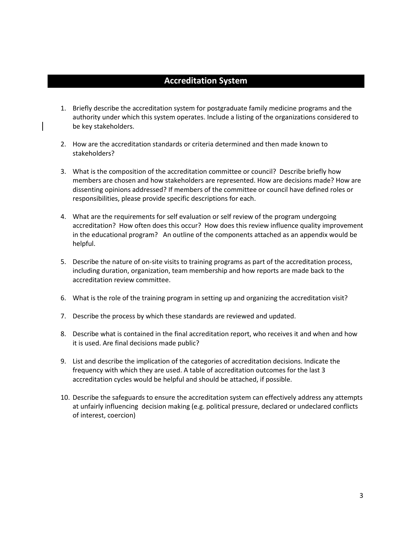#### **Accreditation System**

- 1. Briefly describe the accreditation system for postgraduate family medicine programs and the authority under which this system operates. Include a listing of the organizations considered to be key stakeholders.
- 2. How are the accreditation standards or criteria determined and then made known to stakeholders?
- 3. What is the composition of the accreditation committee or council? Describe briefly how members are chosen and how stakeholders are represented. How are decisions made? How are dissenting opinions addressed? If members of the committee or council have defined roles or responsibilities, please provide specific descriptions for each.
- 4. What are the requirements for self evaluation or self review of the program undergoing accreditation? How often does this occur? How does this review influence quality improvement in the educational program? An outline of the components attached as an appendix would be helpful.
- 5. Describe the nature of on-site visits to training programs as part of the accreditation process, including duration, organization, team membership and how reports are made back to the accreditation review committee.
- 6. What is the role of the training program in setting up and organizing the accreditation visit?
- 7. Describe the process by which these standards are reviewed and updated.
- 8. Describe what is contained in the final accreditation report, who receives it and when and how it is used. Are final decisions made public?
- 9. List and describe the implication of the categories of accreditation decisions. Indicate the frequency with which they are used. A table of accreditation outcomes for the last 3 accreditation cycles would be helpful and should be attached, if possible.
- 10. Describe the safeguards to ensure the accreditation system can effectively address any attempts at unfairly influencing decision making (e.g. political pressure, declared or undeclared conflicts of interest, coercion)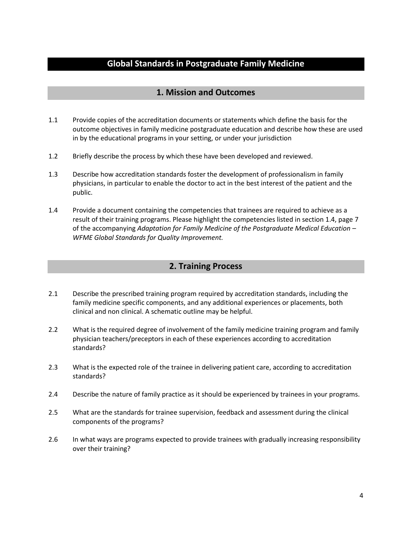### **Global Standards in Postgraduate Family Medicine**

#### **1. Mission and Outcomes**

- 1.1 Provide copies of the accreditation documents or statements which define the basis for the outcome objectives in family medicine postgraduate education and describe how these are used in by the educational programs in your setting, or under your jurisdiction
- 1.2 Briefly describe the process by which these have been developed and reviewed.
- 1.3 Describe how accreditation standards foster the development of professionalism in family physicians, in particular to enable the doctor to act in the best interest of the patient and the public.
- 1.4 Provide a document containing the competencies that trainees are required to achieve as a result of their training programs. Please highlight the competencies listed in section 1.4, page 7 of the accompanying *Adaptation for Family Medicine of the Postgraduate Medical Education – WFME Global Standards for Quality Improvement.*

#### **2. Training Process**

- 2.1 Describe the prescribed training program required by accreditation standards, including the family medicine specific components, and any additional experiences or placements, both clinical and non clinical. A schematic outline may be helpful.
- 2.2 What is the required degree of involvement of the family medicine training program and family physician teachers/preceptors in each of these experiences according to accreditation standards?
- 2.3 What is the expected role of the trainee in delivering patient care, according to accreditation standards?
- 2.4 Describe the nature of family practice as it should be experienced by trainees in your programs.
- 2.5 What are the standards for trainee supervision, feedback and assessment during the clinical components of the programs?
- 2.6 In what ways are programs expected to provide trainees with gradually increasing responsibility over their training?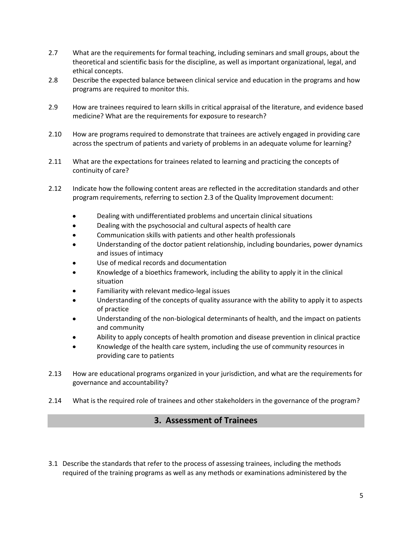- 2.7 What are the requirements for formal teaching, including seminars and small groups, about the theoretical and scientific basis for the discipline, as well as important organizational, legal, and ethical concepts.
- 2.8 Describe the expected balance between clinical service and education in the programs and how programs are required to monitor this.
- 2.9 How are trainees required to learn skills in critical appraisal of the literature, and evidence based medicine? What are the requirements for exposure to research?
- 2.10 How are programs required to demonstrate that trainees are actively engaged in providing care across the spectrum of patients and variety of problems in an adequate volume for learning?
- 2.11 What are the expectations for trainees related to learning and practicing the concepts of continuity of care?
- 2.12 Indicate how the following content areas are reflected in the accreditation standards and other program requirements, referring to section 2.3 of the Quality Improvement document:
	- Dealing with undifferentiated problems and uncertain clinical situations  $\bullet$
	- $\bullet$ Dealing with the psychosocial and cultural aspects of health care
	- Communication skills with patients and other health professionals
	- Understanding of the doctor patient relationship, including boundaries, power dynamics and issues of intimacy
	- Use of medical records and documentation
	- Knowledge of a bioethics framework, including the ability to apply it in the clinical situation
	- Familiarity with relevant medico-legal issues
	- Understanding of the concepts of quality assurance with the ability to apply it to aspects of practice
	- Understanding of the non-biological determinants of health, and the impact on patients and community
	- Ability to apply concepts of health promotion and disease prevention in clinical practice
	- Knowledge of the health care system, including the use of community resources in providing care to patients
- 2.13 How are educational programs organized in your jurisdiction, and what are the requirements for governance and accountability?
- 2.14 What is the required role of trainees and other stakeholders in the governance of the program?

#### **3. Assessment of Trainees**

3.1 Describe the standards that refer to the process of assessing trainees, including the methods required of the training programs as well as any methods or examinations administered by the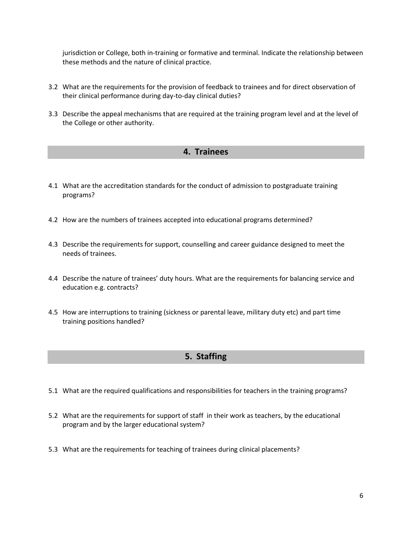jurisdiction or College, both in-training or formative and terminal. Indicate the relationship between these methods and the nature of clinical practice.

- 3.2 What are the requirements for the provision of feedback to trainees and for direct observation of their clinical performance during day-to-day clinical duties?
- 3.3 Describe the appeal mechanisms that are required at the training program level and at the level of the College or other authority.

#### **4. Trainees**

- 4.1 What are the accreditation standards for the conduct of admission to postgraduate training programs?
- 4.2 How are the numbers of trainees accepted into educational programs determined?
- 4.3 Describe the requirements for support, counselling and career guidance designed to meet the needs of trainees.
- 4.4 Describe the nature of trainees' duty hours. What are the requirements for balancing service and education e.g. contracts?
- 4.5 How are interruptions to training (sickness or parental leave, military duty etc) and part time training positions handled?

### **5. Staffing**

- 5.1 What are the required qualifications and responsibilities for teachers in the training programs?
- 5.2 What are the requirements for support of staff in their work as teachers, by the educational program and by the larger educational system?
- 5.3 What are the requirements for teaching of trainees during clinical placements?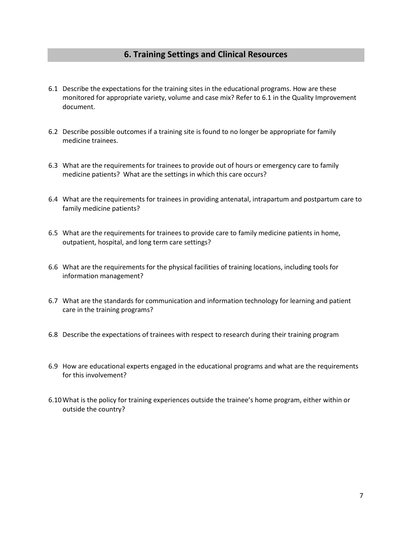#### **6. Training Settings and Clinical Resources**

- 6.1 Describe the expectations for the training sites in the educational programs. How are these monitored for appropriate variety, volume and case mix? Refer to 6.1 in the Quality Improvement document.
- 6.2 Describe possible outcomes if a training site is found to no longer be appropriate for family medicine trainees.
- 6.3 What are the requirements for trainees to provide out of hours or emergency care to family medicine patients? What are the settings in which this care occurs?
- 6.4 What are the requirements for trainees in providing antenatal, intrapartum and postpartum care to family medicine patients?
- 6.5 What are the requirements for trainees to provide care to family medicine patients in home, outpatient, hospital, and long term care settings?
- 6.6 What are the requirements for the physical facilities of training locations, including tools for information management?
- 6.7 What are the standards for communication and information technology for learning and patient care in the training programs?
- 6.8 Describe the expectations of trainees with respect to research during their training program
- 6.9 How are educational experts engaged in the educational programs and what are the requirements for this involvement?
- 6.10What is the policy for training experiences outside the trainee's home program, either within or outside the country?